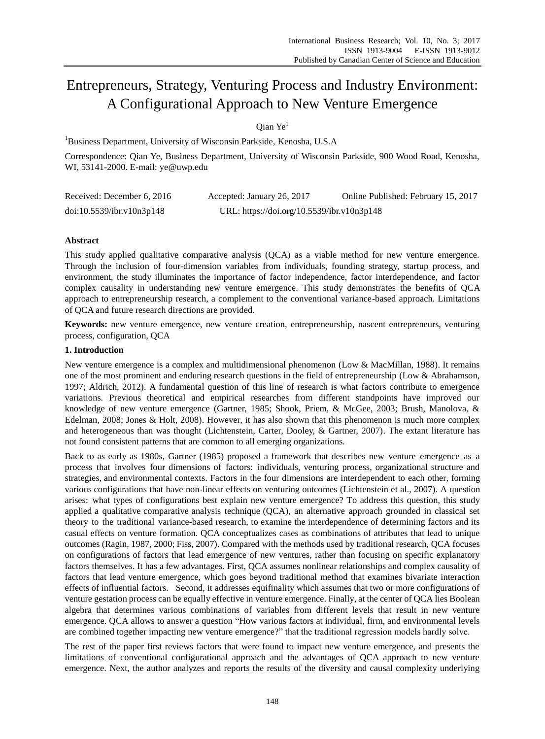# Entrepreneurs, Strategy, Venturing Process and Industry Environment: A Configurational Approach to New Venture Emergence

Qian Ye<sup>1</sup>

<sup>1</sup>Business Department, University of Wisconsin Parkside, Kenosha, U.S.A

Correspondence: Qian Ye, Business Department, University of Wisconsin Parkside, 900 Wood Road, Kenosha, WI, 53141-2000. E-mail: ye@uwp.edu

| Received: December 6, 2016 | Accepted: January 26, 2017                 | Online Published: February 15, 2017 |
|----------------------------|--------------------------------------------|-------------------------------------|
| doi:10.5539/ibr.v10n3p148  | URL: https://doi.org/10.5539/ibr.v10n3p148 |                                     |

# **Abstract**

This study applied qualitative comparative analysis (QCA) as a viable method for new venture emergence. Through the inclusion of four-dimension variables from individuals, founding strategy, startup process, and environment, the study illuminates the importance of factor independence, factor interdependence, and factor complex causality in understanding new venture emergence. This study demonstrates the benefits of QCA approach to entrepreneurship research, a complement to the conventional variance-based approach. Limitations of QCA and future research directions are provided.

**Keywords:** new venture emergence, new venture creation, entrepreneurship, nascent entrepreneurs, venturing process, configuration, QCA

# **1. Introduction**

New venture emergence is a complex and multidimensional phenomenon (Low & MacMillan, 1988). It remains one of the most prominent and enduring research questions in the field of entrepreneurship (Low & Abrahamson, 1997; Aldrich, 2012). A fundamental question of this line of research is what factors contribute to emergence variations. Previous theoretical and empirical researches from different standpoints have improved our knowledge of new venture emergence (Gartner, 1985; Shook, Priem, & McGee, 2003; Brush, Manolova, & Edelman, 2008; Jones & Holt, 2008). However, it has also shown that this phenomenon is much more complex and heterogeneous than was thought (Lichtenstein, Carter, Dooley, & Gartner, 2007). The extant literature has not found consistent patterns that are common to all emerging organizations.

Back to as early as 1980s, Gartner (1985) proposed a framework that describes new venture emergence as a process that involves four dimensions of factors: individuals, venturing process, organizational structure and strategies, and environmental contexts. Factors in the four dimensions are interdependent to each other, forming various configurations that have non-linear effects on venturing outcomes (Lichtenstein et al., 2007). A question arises: what types of configurations best explain new venture emergence? To address this question, this study applied a qualitative comparative analysis technique (QCA), an alternative approach grounded in classical set theory to the traditional variance-based research, to examine the interdependence of determining factors and its casual effects on venture formation. QCA conceptualizes cases as combinations of attributes that lead to unique outcomes (Ragin, 1987, 2000; Fiss, 2007). Compared with the methods used by traditional research, QCA focuses on configurations of factors that lead emergence of new ventures, rather than focusing on specific explanatory factors themselves. It has a few advantages. First, QCA assumes nonlinear relationships and complex causality of factors that lead venture emergence, which goes beyond traditional method that examines bivariate interaction effects of influential factors. Second, it addresses equifinality which assumes that two or more configurations of venture gestation process can be equally effective in venture emergence. Finally, at the center of QCA lies Boolean algebra that determines various combinations of variables from different levels that result in new venture emergence. QCA allows to answer a question "How various factors at individual, firm, and environmental levels are combined together impacting new venture emergence?" that the traditional regression models hardly solve.

The rest of the paper first reviews factors that were found to impact new venture emergence, and presents the limitations of conventional configurational approach and the advantages of QCA approach to new venture emergence. Next, the author analyzes and reports the results of the diversity and causal complexity underlying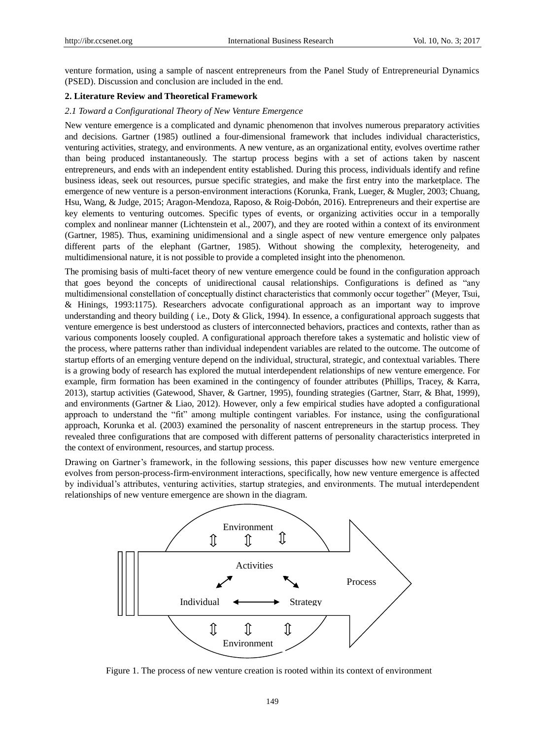venture formation, using a sample of nascent entrepreneurs from the Panel Study of Entrepreneurial Dynamics (PSED). Discussion and conclusion are included in the end.

## **2. Literature Review and Theoretical Framework**

#### *2.1 Toward a Configurational Theory of New Venture Emergence*

New venture emergence is a complicated and dynamic phenomenon that involves numerous preparatory activities and decisions. Gartner (1985) outlined a four-dimensional framework that includes individual characteristics, venturing activities, strategy, and environments. A new venture, as an organizational entity, evolves overtime rather than being produced instantaneously. The startup process begins with a set of actions taken by nascent entrepreneurs, and ends with an independent entity established. During this process, individuals identify and refine business ideas, seek out resources, pursue specific strategies, and make the first entry into the marketplace. The emergence of new venture is a person-environment interactions (Korunka, Frank, Lueger, & Mugler, 2003; Chuang, Hsu, Wang, & Judge, 2015; Aragon-Mendoza, Raposo, & Roig-Dobón, 2016). Entrepreneurs and their expertise are key elements to venturing outcomes. Specific types of events, or organizing activities occur in a temporally complex and nonlinear manner (Lichtenstein et al., 2007), and they are rooted within a context of its environment (Gartner, 1985). Thus, examining unidimensional and a single aspect of new venture emergence only palpates different parts of the elephant (Gartner, 1985). Without showing the complexity, heterogeneity, and multidimensional nature, it is not possible to provide a completed insight into the phenomenon.

The promising basis of multi-facet theory of new venture emergence could be found in the configuration approach that goes beyond the concepts of unidirectional causal relationships. Configurations is defined as "any multidimensional constellation of conceptually distinct characteristics that commonly occur together" (Meyer, Tsui, & Hinings, 1993:1175). Researchers advocate configurational approach as an important way to improve understanding and theory building ( i.e., Doty & Glick, 1994). In essence, a configurational approach suggests that venture emergence is best understood as clusters of interconnected behaviors, practices and contexts, rather than as various components loosely coupled. A configurational approach therefore takes a systematic and holistic view of the process, where patterns rather than individual independent variables are related to the outcome. The outcome of startup efforts of an emerging venture depend on the individual, structural, strategic, and contextual variables. There is a growing body of research has explored the mutual interdependent relationships of new venture emergence. For example, firm formation has been examined in the contingency of founder attributes (Phillips, Tracey, & Karra, 2013), startup activities (Gatewood, Shaver, & Gartner, 1995), founding strategies (Gartner, Starr, & Bhat, 1999), and environments (Gartner & Liao, 2012). However, only a few empirical studies have adopted a configurational approach to understand the "fit" among multiple contingent variables. For instance, using the configurational approach, Korunka et al. (2003) examined the personality of nascent entrepreneurs in the startup process. They revealed three configurations that are composed with different patterns of personality characteristics interpreted in the context of environment, resources, and startup process.

Drawing on Gartner's framework, in the following sessions, this paper discusses how new venture emergence evolves from person-process-firm-environment interactions, specifically, how new venture emergence is affected by individual's attributes, venturing activities, startup strategies, and environments. The mutual interdependent relationships of new venture emergence are shown in the diagram.



Figure 1. The process of new venture creation is rooted within its context of environment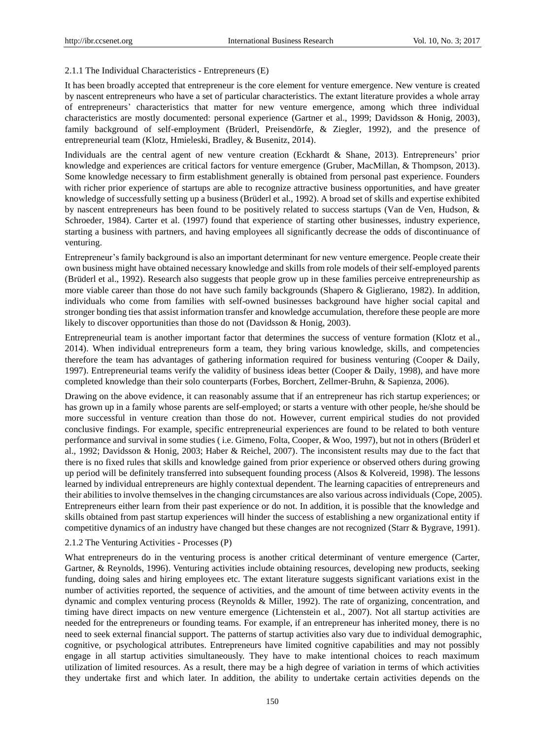# 2.1.1 The Individual Characteristics - Entrepreneurs (E)

It has been broadly accepted that entrepreneur is the core element for venture emergence. New venture is created by nascent entrepreneurs who have a set of particular characteristics. The extant literature provides a whole array of entrepreneurs' characteristics that matter for new venture emergence, among which three individual characteristics are mostly documented: personal experience (Gartner et al., 1999; Davidsson & Honig, 2003), family background of self-employment (Brüderl, Preisendörfe, & Ziegler, 1992), and the presence of entrepreneurial team (Klotz, Hmieleski, Bradley, & Busenitz, 2014).

Individuals are the central agent of new venture creation (Eckhardt & Shane, 2013). Entrepreneurs' prior knowledge and experiences are critical factors for venture emergence (Gruber, MacMillan, & Thompson, 2013). Some knowledge necessary to firm establishment generally is obtained from personal past experience. Founders with richer prior experience of startups are able to recognize attractive business opportunities, and have greater knowledge of successfully setting up a business (Brüderl et al., 1992). A broad set of skills and expertise exhibited by nascent entrepreneurs has been found to be positively related to success startups (Van de Ven, Hudson, & Schroeder, 1984). Carter et al. (1997) found that experience of starting other businesses, industry experience, starting a business with partners, and having employees all significantly decrease the odds of discontinuance of venturing.

Entrepreneur's family background is also an important determinant for new venture emergence. People create their own business might have obtained necessary knowledge and skills from role models of their self-employed parents (Brüderl et al., 1992). Research also suggests that people grow up in these families perceive entrepreneurship as more viable career than those do not have such family backgrounds (Shapero & Giglierano, 1982). In addition, individuals who come from families with self-owned businesses background have higher social capital and stronger bonding ties that assist information transfer and knowledge accumulation, therefore these people are more likely to discover opportunities than those do not (Davidsson & Honig, 2003).

Entrepreneurial team is another important factor that determines the success of venture formation (Klotz et al., 2014). When individual entrepreneurs form a team, they bring various knowledge, skills, and competencies therefore the team has advantages of gathering information required for business venturing (Cooper & Daily, 1997). Entrepreneurial teams verify the validity of business ideas better (Cooper & Daily, 1998), and have more completed knowledge than their solo counterparts (Forbes, Borchert, Zellmer-Bruhn, & Sapienza, 2006).

Drawing on the above evidence, it can reasonably assume that if an entrepreneur has rich startup experiences; or has grown up in a family whose parents are self-employed; or starts a venture with other people, he/she should be more successful in venture creation than those do not. However, current empirical studies do not provided conclusive findings. For example, specific entrepreneurial experiences are found to be related to both venture performance and survival in some studies ( i.e. Gimeno, Folta, Cooper, & Woo, 1997), but not in others (Brüderl et al., 1992; Davidsson & Honig, 2003; Haber & Reichel, 2007). The inconsistent results may due to the fact that there is no fixed rules that skills and knowledge gained from prior experience or observed others during growing up period will be definitely transferred into subsequent founding process (Alsos & Kolvereid, 1998). The lessons learned by individual entrepreneurs are highly contextual dependent. The learning capacities of entrepreneurs and their abilities to involve themselves in the changing circumstances are also various across individuals (Cope, 2005). Entrepreneurs either learn from their past experience or do not. In addition, it is possible that the knowledge and skills obtained from past startup experiences will hinder the success of establishing a new organizational entity if competitive dynamics of an industry have changed but these changes are not recognized (Starr & Bygrave, 1991).

# 2.1.2 The Venturing Activities - Processes (P)

What entrepreneurs do in the venturing process is another critical determinant of venture emergence (Carter, Gartner, & Reynolds, 1996). Venturing activities include obtaining resources, developing new products, seeking funding, doing sales and hiring employees etc. The extant literature suggests significant variations exist in the number of activities reported, the sequence of activities, and the amount of time between activity events in the dynamic and complex venturing process (Reynolds & Miller, 1992). The rate of organizing, concentration, and timing have direct impacts on new venture emergence (Lichtenstein et al., 2007). Not all startup activities are needed for the entrepreneurs or founding teams. For example, if an entrepreneur has inherited money, there is no need to seek external financial support. The patterns of startup activities also vary due to individual demographic, cognitive, or psychological attributes. Entrepreneurs have limited cognitive capabilities and may not possibly engage in all startup activities simultaneously. They have to make intentional choices to reach maximum utilization of limited resources. As a result, there may be a high degree of variation in terms of which activities they undertake first and which later. In addition, the ability to undertake certain activities depends on the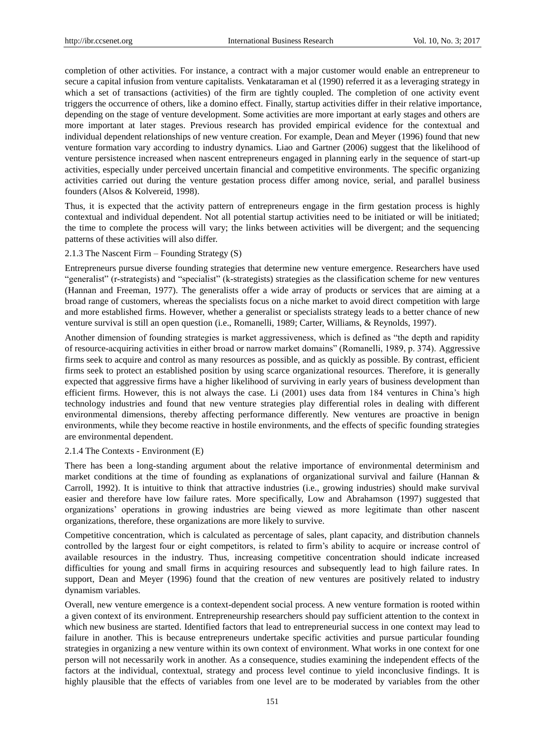completion of other activities. For instance, a contract with a major customer would enable an entrepreneur to secure a capital infusion from venture capitalists. Venkataraman et al (1990) referred it as a leveraging strategy in which a set of transactions (activities) of the firm are tightly coupled. The completion of one activity event triggers the occurrence of others, like a domino effect. Finally, startup activities differ in their relative importance, depending on the stage of venture development. Some activities are more important at early stages and others are more important at later stages. Previous research has provided empirical evidence for the contextual and individual dependent relationships of new venture creation. For example, Dean and Meyer (1996) found that new venture formation vary according to industry dynamics. Liao and Gartner (2006) suggest that the likelihood of venture persistence increased when nascent entrepreneurs engaged in planning early in the sequence of start-up activities, especially under perceived uncertain financial and competitive environments. The specific organizing activities carried out during the venture gestation process differ among novice, serial, and parallel business founders (Alsos & Kolvereid, 1998).

Thus, it is expected that the activity pattern of entrepreneurs engage in the firm gestation process is highly contextual and individual dependent. Not all potential startup activities need to be initiated or will be initiated; the time to complete the process will vary; the links between activities will be divergent; and the sequencing patterns of these activities will also differ.

2.1.3 The Nascent Firm – Founding Strategy (S)

Entrepreneurs pursue diverse founding strategies that determine new venture emergence. Researchers have used "generalist" (r-strategists) and "specialist" (k-strategists) strategies as the classification scheme for new ventures (Hannan and Freeman, 1977). The generalists offer a wide array of products or services that are aiming at a broad range of customers, whereas the specialists focus on a niche market to avoid direct competition with large and more established firms. However, whether a generalist or specialists strategy leads to a better chance of new venture survival is still an open question (i.e., Romanelli, 1989; Carter, Williams, & Reynolds, 1997).

Another dimension of founding strategies is market aggressiveness, which is defined as "the depth and rapidity of resource-acquiring activities in either broad or narrow market domains" (Romanelli, 1989, p. 374). Aggressive firms seek to acquire and control as many resources as possible, and as quickly as possible. By contrast, efficient firms seek to protect an established position by using scarce organizational resources. Therefore, it is generally expected that aggressive firms have a higher likelihood of surviving in early years of business development than efficient firms. However, this is not always the case. Li (2001) uses data from 184 ventures in China's high technology industries and found that new venture strategies play differential roles in dealing with different environmental dimensions, thereby affecting performance differently. New ventures are proactive in benign environments, while they become reactive in hostile environments, and the effects of specific founding strategies are environmental dependent.

### 2.1.4 The Contexts - Environment (E)

There has been a long-standing argument about the relative importance of environmental determinism and market conditions at the time of founding as explanations of organizational survival and failure (Hannan & Carroll, 1992). It is intuitive to think that attractive industries (i.e., growing industries) should make survival easier and therefore have low failure rates. More specifically, Low and Abrahamson (1997) suggested that organizations' operations in growing industries are being viewed as more legitimate than other nascent organizations, therefore, these organizations are more likely to survive.

Competitive concentration, which is calculated as percentage of sales, plant capacity, and distribution channels controlled by the largest four or eight competitors, is related to firm's ability to acquire or increase control of available resources in the industry. Thus, increasing competitive concentration should indicate increased difficulties for young and small firms in acquiring resources and subsequently lead to high failure rates. In support, Dean and Meyer (1996) found that the creation of new ventures are positively related to industry dynamism variables.

Overall, new venture emergence is a context-dependent social process. A new venture formation is rooted within a given context of its environment. Entrepreneurship researchers should pay sufficient attention to the context in which new business are started. Identified factors that lead to entrepreneurial success in one context may lead to failure in another. This is because entrepreneurs undertake specific activities and pursue particular founding strategies in organizing a new venture within its own context of environment. What works in one context for one person will not necessarily work in another. As a consequence, studies examining the independent effects of the factors at the individual, contextual, strategy and process level continue to yield inconclusive findings. It is highly plausible that the effects of variables from one level are to be moderated by variables from the other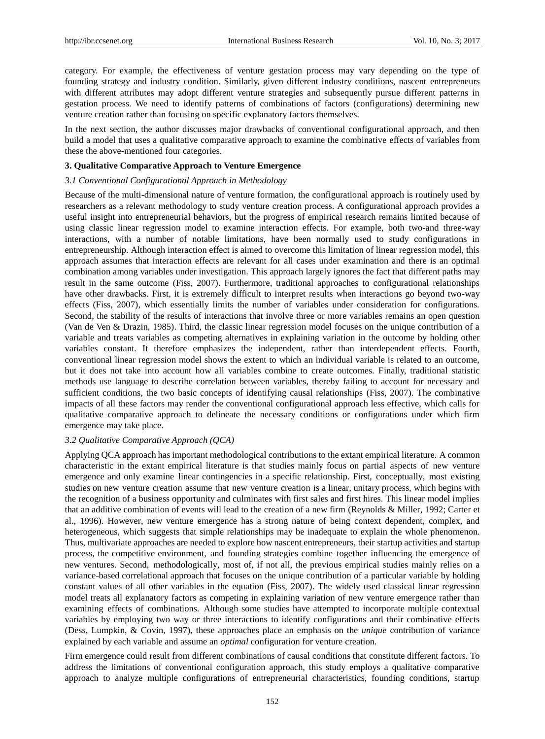category. For example, the effectiveness of venture gestation process may vary depending on the type of founding strategy and industry condition. Similarly, given different industry conditions, nascent entrepreneurs with different attributes may adopt different venture strategies and subsequently pursue different patterns in gestation process. We need to identify patterns of combinations of factors (configurations) determining new venture creation rather than focusing on specific explanatory factors themselves.

In the next section, the author discusses major drawbacks of conventional configurational approach, and then build a model that uses a qualitative comparative approach to examine the combinative effects of variables from these the above-mentioned four categories.

## **3. Qualitative Comparative Approach to Venture Emergence**

# *3.1 Conventional Configurational Approach in Methodology*

Because of the multi-dimensional nature of venture formation, the configurational approach is routinely used by researchers as a relevant methodology to study venture creation process. A configurational approach provides a useful insight into entrepreneurial behaviors, but the progress of empirical research remains limited because of using classic linear regression model to examine interaction effects. For example, both two-and three-way interactions, with a number of notable limitations, have been normally used to study configurations in entrepreneurship. Although interaction effect is aimed to overcome this limitation of linear regression model, this approach assumes that interaction effects are relevant for all cases under examination and there is an optimal combination among variables under investigation. This approach largely ignores the fact that different paths may result in the same outcome (Fiss, 2007). Furthermore, traditional approaches to configurational relationships have other drawbacks. First, it is extremely difficult to interpret results when interactions go beyond two-way effects (Fiss, 2007), which essentially limits the number of variables under consideration for configurations. Second, the stability of the results of interactions that involve three or more variables remains an open question (Van de Ven & Drazin, 1985). Third, the classic linear regression model focuses on the unique contribution of a variable and treats variables as competing alternatives in explaining variation in the outcome by holding other variables constant. It therefore emphasizes the independent, rather than interdependent effects. Fourth, conventional linear regression model shows the extent to which an individual variable is related to an outcome, but it does not take into account how all variables combine to create outcomes. Finally, traditional statistic methods use language to describe correlation between variables, thereby failing to account for necessary and sufficient conditions, the two basic concepts of identifying causal relationships (Fiss, 2007). The combinative impacts of all these factors may render the conventional configurational approach less effective, which calls for qualitative comparative approach to delineate the necessary conditions or configurations under which firm emergence may take place.

# *3.2 Qualitative Comparative Approach (QCA)*

Applying QCA approach has important methodological contributions to the extant empirical literature. A common characteristic in the extant empirical literature is that studies mainly focus on partial aspects of new venture emergence and only examine linear contingencies in a specific relationship. First, conceptually, most existing studies on new venture creation assume that new venture creation is a linear, unitary process, which begins with the recognition of a business opportunity and culminates with first sales and first hires. This linear model implies that an additive combination of events will lead to the creation of a new firm (Reynolds & Miller, 1992; Carter et al., 1996). However, new venture emergence has a strong nature of being context dependent, complex, and heterogeneous, which suggests that simple relationships may be inadequate to explain the whole phenomenon. Thus, multivariate approaches are needed to explore how nascent entrepreneurs, their startup activities and startup process, the competitive environment, and founding strategies combine together influencing the emergence of new ventures. Second, methodologically, most of, if not all, the previous empirical studies mainly relies on a variance-based correlational approach that focuses on the unique contribution of a particular variable by holding constant values of all other variables in the equation (Fiss, 2007). The widely used classical linear regression model treats all explanatory factors as competing in explaining variation of new venture emergence rather than examining effects of combinations. Although some studies have attempted to incorporate multiple contextual variables by employing two way or three interactions to identify configurations and their combinative effects (Dess, Lumpkin, & Covin, 1997), these approaches place an emphasis on the *unique* contribution of variance explained by each variable and assume an *optimal* configuration for venture creation.

Firm emergence could result from different combinations of causal conditions that constitute different factors. To address the limitations of conventional configuration approach, this study employs a qualitative comparative approach to analyze multiple configurations of entrepreneurial characteristics, founding conditions, startup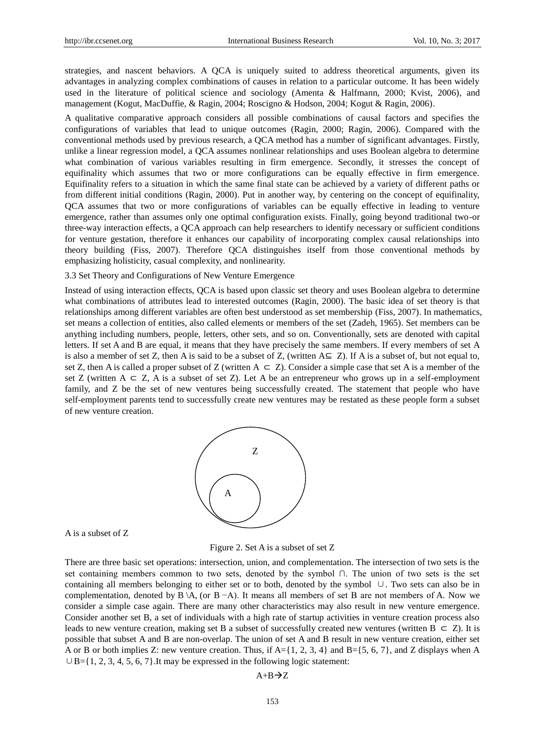strategies, and nascent behaviors. A QCA is uniquely suited to address theoretical arguments, given its advantages in analyzing complex combinations of causes in relation to a particular outcome. It has been widely used in the literature of political science and sociology (Amenta & Halfmann, 2000; Kvist, 2006), and management (Kogut, MacDuffie, & Ragin, 2004; Roscigno & Hodson, 2004; Kogut & Ragin, 2006).

A qualitative comparative approach considers all possible combinations of causal factors and specifies the configurations of variables that lead to unique outcomes (Ragin, 2000; Ragin, 2006). Compared with the conventional methods used by previous research, a QCA method has a number of significant advantages. Firstly, unlike a linear regression model, a QCA assumes nonlinear relationships and uses Boolean algebra to determine what combination of various variables resulting in firm emergence. Secondly, it stresses the concept of equifinality which assumes that two or more configurations can be equally effective in firm emergence. Equifinality refers to a situation in which the same final state can be achieved by a variety of different paths or from different initial conditions (Ragin, 2000). Put in another way, by centering on the concept of equifinality, QCA assumes that two or more configurations of variables can be equally effective in leading to venture emergence, rather than assumes only one optimal configuration exists. Finally, going beyond traditional two-or three-way interaction effects, a QCA approach can help researchers to identify necessary or sufficient conditions for venture gestation, therefore it enhances our capability of incorporating complex causal relationships into theory building (Fiss, 2007). Therefore QCA distinguishes itself from those conventional methods by emphasizing holisticity, casual complexity, and nonlinearity.

#### 3.3 Set Theory and Configurations of New Venture Emergence

Instead of using interaction effects, QCA is based upon classic set theory and uses Boolean algebra to determine what combinations of attributes lead to interested outcomes (Ragin, 2000). The basic idea of set theory is that relationships among different variables are often best understood as set membership (Fiss, 2007). In mathematics, set means a collection of entities, also called elements or members of the set (Zadeh, 1965). Set members can be anything including numbers, people, letters, other sets, and so on. Conventionally, sets are denoted with [capital](http://en.wikipedia.org/wiki/Capital_letters)  [letters.](http://en.wikipedia.org/wiki/Capital_letters) If set A and B are equal, it means that they have precisely the same members. If every members of set A is also a member of set Z, then A is said to be a subset of Z, (written  $A \subseteq Z$ ). If A is a subset of, but not equal to, set Z, then A is called a proper subset of Z (written  $A \subseteq Z$ ). Consider a simple case that set A is a member of the set Z (written  $A \subseteq Z$ , A is a subset of set Z). Let A be an entrepreneur who grows up in a self-employment family, and Z be the set of new ventures being successfully created. The statement that people who have self-employment parents tend to successfully create new ventures may be restated as these people form a subset of new venture creation.



A is a subset of Z

Figure 2. Set A is a subset of set Z

There are three basic set operations: intersection, union, and complementation. The intersection of two sets is the set containing members common to two sets, denoted by the symbol ∩. The union of two sets is the set containing all members belonging to either set or to both, denoted by the symbol ∪. Two sets can also be in complementation, denoted by B \A, (or B –A). It means all members of set B are not members of A. Now we consider a simple case again. There are many other characteristics may also result in new venture emergence. Consider another set B, a set of individuals with a high rate of startup activities in venture creation process also leads to new venture creation, making set B a subset of successfully created new ventures (written  $B \subset Z$ ). It is possible that subset A and B are non-overlap. The union of set A and B result in new venture creation, either set A or B or both implies Z: new venture creation. Thus, if  $A = \{1, 2, 3, 4\}$  and  $B = \{5, 6, 7\}$ , and Z displays when A ∪B={1, 2, 3, 4, 5, 6, 7}.It may be expressed in the following logic statement:

# $A+B\rightarrow Z$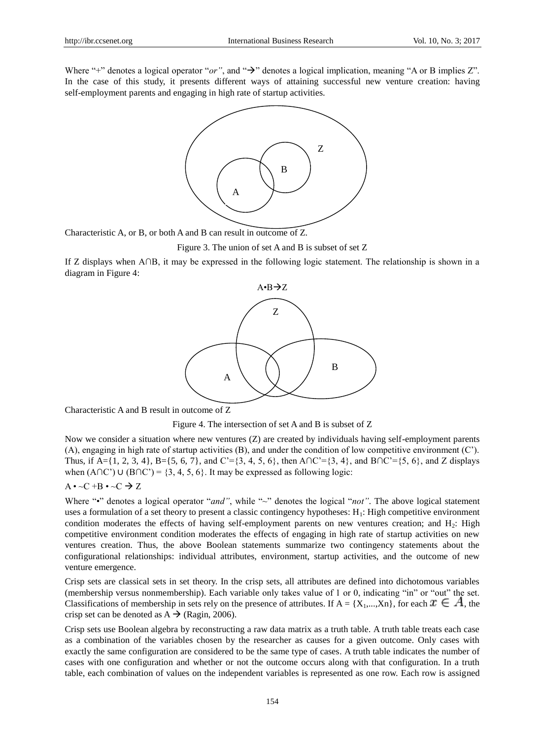Where "+" denotes a logical operator "*or*", and " $\rightarrow$ " denotes a logical implication, meaning "A or B implies Z". In the case of this study, it presents different ways of attaining successful new venture creation: having self-employment parents and engaging in high rate of startup activities.



Characteristic A, or B, or both A and B can result in outcome of Z.

Figure 3. The union of set A and B is subset of set Z

If Z displays when A∩B, it may be expressed in the following logic statement. The relationship is shown in a diagram in Figure 4:



Characteristic A and B result in outcome of Z

Figure 4. The intersection of set A and B is subset of Z

Now we consider a situation where new ventures (Z) are created by individuals having self-employment parents (A), engaging in high rate of startup activities (B), and under the condition of low competitive environment (C'). Thus, if A={1, 2, 3, 4}, B={5, 6, 7}, and C'={3, 4, 5, 6}, then  $A \cap C$ '={3, 4}, and  $B \cap C$ '={5, 6}, and Z displays when (A∩C') ∪ (B∩C') = {3, 4, 5, 6}. It may be expressed as following logic:

# $A \cdot \sim C + B \cdot \sim C \rightarrow Z$

Where "•" denotes a logical operator "and", while "~" denotes the logical "not". The above logical statement uses a formulation of a set theory to present a classic contingency hypotheses: H<sub>1</sub>: High competitive environment condition moderates the effects of having self-employment parents on new ventures creation; and H<sub>2</sub>: High competitive environment condition moderates the effects of engaging in high rate of startup activities on new ventures creation. Thus, the above Boolean statements summarize two contingency statements about the configurational relationships: individual attributes, environment, startup activities, and the outcome of new venture emergence.

Crisp sets are classical sets in set theory. In the crisp sets, all attributes are defined into dichotomous variables (membership versus nonmembership). Each variable only takes value of 1 or 0, indicating "in" or "out" the set. Classifications of membership in sets rely on the presence of attributes. If  $A = \{X_1,...,X_n\}$ , for each  $\mathcal{X} \in A$ , the crisp set can be denoted as  $A \rightarrow (Ragin, 2006)$ .

Crisp sets use Boolean algebra by reconstructing a raw data matrix as a truth table. A truth table treats each case as a combination of the variables chosen by the researcher as causes for a given outcome. Only cases with exactly the same configuration are considered to be the same type of cases. A truth table indicates the number of cases with one configuration and whether or not the outcome occurs along with that configuration. In a truth table, each combination of values on the independent variables is represented as one row. Each row is assigned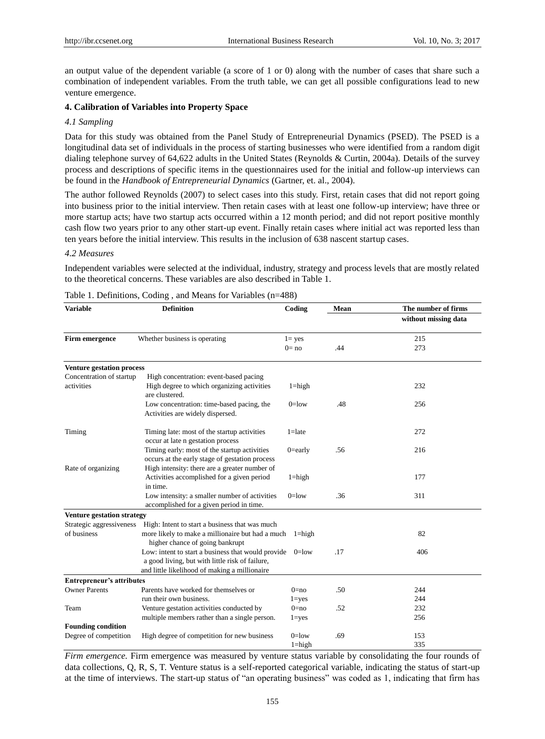an output value of the dependent variable (a score of 1 or 0) along with the number of cases that share such a combination of independent variables. From the truth table, we can get all possible configurations lead to new venture emergence.

# **4. Calibration of Variables into Property Space**

#### *4.1 Sampling*

Data for this study was obtained from the Panel Study of Entrepreneurial Dynamics (PSED). The PSED is a longitudinal data set of individuals in the process of starting businesses who were identified from a random digit dialing telephone survey of 64,622 adults in the United States (Reynolds & Curtin, 2004a). Details of the survey process and descriptions of specific items in the questionnaires used for the initial and follow-up interviews can be found in the *Handbook of Entrepreneurial Dynamics* (Gartner, et. al., 2004).

The author followed Reynolds (2007) to select cases into this study. First, retain cases that did not report going into business prior to the initial interview. Then retain cases with at least one follow-up interview; have three or more startup acts; have two startup acts occurred within a 12 month period; and did not report positive monthly cash flow two years prior to any other start-up event. Finally retain cases where initial act was reported less than ten years before the initial interview. This results in the inclusion of 638 nascent startup cases.

#### *4.2 Measures*

Independent variables were selected at the individual, industry, strategy and process levels that are mostly related to the theoretical concerns. These variables are also described in Table 1.

| <b>Variable</b>                  | <b>Definition</b>                                                                                              | Coding      | Mean | The number of firms  |
|----------------------------------|----------------------------------------------------------------------------------------------------------------|-------------|------|----------------------|
|                                  |                                                                                                                |             |      | without missing data |
| Firm emergence                   | Whether business is operating                                                                                  | $1 = yes$   |      | 215                  |
|                                  |                                                                                                                | $0 = no$    | .44  | 273                  |
| Venture gestation process        |                                                                                                                |             |      |                      |
| Concentration of startup         | High concentration: event-based pacing                                                                         |             |      |                      |
| activities                       | High degree to which organizing activities<br>are clustered.                                                   | $1 =$ high  |      | 232                  |
|                                  | Low concentration: time-based pacing, the<br>Activities are widely dispersed.                                  | $0 =$ low   | .48  | 256                  |
| Timing                           | Timing late: most of the startup activities<br>occur at late n gestation process                               | $1 =$ late  |      | 272                  |
|                                  | Timing early: most of the startup activities<br>occurs at the early stage of gestation process                 | $0 =$ early | .56  | 216                  |
| Rate of organizing               | High intensity: there are a greater number of<br>Activities accomplished for a given period<br>in time.        | $1 = high$  |      | 177                  |
|                                  | Low intensity: a smaller number of activities<br>accomplished for a given period in time.                      | $0=$ low    | .36  | 311                  |
| Venture gestation strategy       |                                                                                                                |             |      |                      |
| Strategic aggressiveness         | High: Intent to start a business that was much                                                                 |             |      |                      |
| of business                      | more likely to make a millionaire but had a much<br>higher chance of going bankrupt                            | $1 =$ high  |      | 82                   |
|                                  | Low: intent to start a business that would provide $0=$ low<br>a good living, but with little risk of failure, |             | .17  | 406                  |
|                                  | and little likelihood of making a millionaire                                                                  |             |      |                      |
| <b>Entrepreneur's attributes</b> |                                                                                                                |             |      |                      |
| <b>Owner Parents</b>             | Parents have worked for themselves or                                                                          | $0 = no$    | .50  | 244                  |
|                                  | run their own business.                                                                                        | $1 = yes$   |      | 244                  |
| Team                             | Venture gestation activities conducted by                                                                      | $0 = no$    | .52  | 232                  |
|                                  | multiple members rather than a single person.                                                                  | $1 = yes$   |      | 256                  |
| <b>Founding condition</b>        |                                                                                                                |             |      |                      |
| Degree of competition            | High degree of competition for new business                                                                    | $0 =$ low   | .69  | 153                  |
|                                  |                                                                                                                | $1 =$ high  |      | 335                  |

Table 1. Definitions, Coding , and Means for Variables (n=488)

*Firm emergence.* Firm emergence was measured by venture status variable by consolidating the four rounds of data collections, Q, R, S, T. Venture status is a self-reported categorical variable, indicating the status of start-up at the time of interviews. The start-up status of "an operating business" was coded as 1, indicating that firm has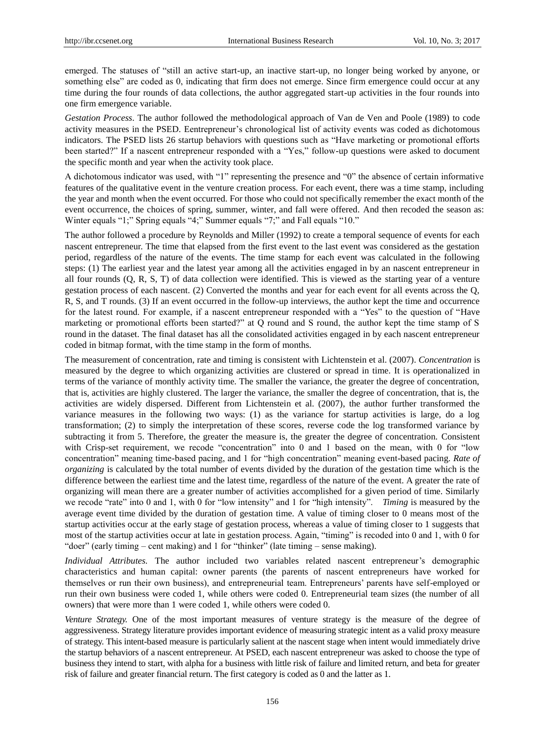emerged. The statuses of "still an active start-up, an inactive start-up, no longer being worked by anyone, or something else" are coded as 0, indicating that firm does not emerge. Since firm emergence could occur at any time during the four rounds of data collections, the author aggregated start-up activities in the four rounds into one firm emergence variable.

*Gestation Process*. The author followed the methodological approach of Van de Ven and Poole (1989) to code activity measures in the PSED. Eentrepreneur's chronological list of activity events was coded as dichotomous indicators. The PSED lists 26 startup behaviors with questions such as "Have marketing or promotional efforts been started?" If a nascent entrepreneur responded with a "Yes," follow-up questions were asked to document the specific month and year when the activity took place.

A dichotomous indicator was used, with "1" representing the presence and "0" the absence of certain informative features of the qualitative event in the venture creation process. For each event, there was a time stamp, including the year and month when the event occurred. For those who could not specifically remember the exact month of the event occurrence, the choices of spring, summer, winter, and fall were offered. And then recoded the season as: Winter equals "1;" Spring equals "4;" Summer equals "7;" and Fall equals "10."

The author followed a procedure by Reynolds and Miller (1992) to create a temporal sequence of events for each nascent entrepreneur. The time that elapsed from the first event to the last event was considered as the gestation period, regardless of the nature of the events. The time stamp for each event was calculated in the following steps: (1) The earliest year and the latest year among all the activities engaged in by an nascent entrepreneur in all four rounds (Q, R, S, T) of data collection were identified. This is viewed as the starting year of a venture gestation process of each nascent. (2) Converted the months and year for each event for all events across the Q, R, S, and T rounds. (3) If an event occurred in the follow-up interviews, the author kept the time and occurrence for the latest round. For example, if a nascent entrepreneur responded with a "Yes" to the question of "Have marketing or promotional efforts been started?" at Q round and S round, the author kept the time stamp of S round in the dataset. The final dataset has all the consolidated activities engaged in by each nascent entrepreneur coded in bitmap format, with the time stamp in the form of months.

The measurement of concentration, rate and timing is consistent with Lichtenstein et al. (2007). *Concentration* is measured by the degree to which organizing activities are clustered or spread in time. It is operationalized in terms of the variance of monthly activity time. The smaller the variance, the greater the degree of concentration, that is, activities are highly clustered. The larger the variance, the smaller the degree of concentration, that is, the activities are widely dispersed. Different from Lichtenstein et al. (2007), the author further transformed the variance measures in the following two ways: (1) as the variance for startup activities is large, do a log transformation; (2) to simply the interpretation of these scores, reverse code the log transformed variance by subtracting it from 5. Therefore, the greater the measure is, the greater the degree of concentration. Consistent with Crisp-set requirement, we recode "concentration" into  $0$  and  $1$  based on the mean, with  $0$  for "low concentration" meaning time-based pacing, and 1 for "high concentration" meaning event-based pacing. *Rate of organizing* is calculated by the total number of events divided by the duration of the gestation time which is the difference between the earliest time and the latest time, regardless of the nature of the event. A greater the rate of organizing will mean there are a greater number of activities accomplished for a given period of time. Similarly we recode "rate" into 0 and 1, with 0 for "low intensity" and 1 for "high intensity". *Timing* is measured by the average event time divided by the duration of gestation time. A value of timing closer to 0 means most of the startup activities occur at the early stage of gestation process, whereas a value of timing closer to 1 suggests that most of the startup activities occur at late in gestation process. Again, "timing" is recoded into 0 and 1, with 0 for "doer" (early timing – cent making) and 1 for "thinker" (late timing – sense making).

*Individual Attributes.* The author included two variables related nascent entrepreneur's demographic characteristics and human capital: owner parents (the parents of nascent entrepreneurs have worked for themselves or run their own business), and entrepreneurial team. Entrepreneurs' parents have self-employed or run their own business were coded 1, while others were coded 0. Entrepreneurial team sizes (the number of all owners) that were more than 1 were coded 1, while others were coded 0.

*Venture Strategy.* One of the most important measures of venture strategy is the measure of the degree of aggressiveness. Strategy literature provides important evidence of measuring strategic intent as a valid proxy measure of strategy. This intent-based measure is particularly salient at the nascent stage when intent would immediately drive the startup behaviors of a nascent entrepreneur. At PSED, each nascent entrepreneur was asked to choose the type of business they intend to start, with alpha for a business with little risk of failure and limited return, and beta for greater risk of failure and greater financial return. The first category is coded as 0 and the latter as 1.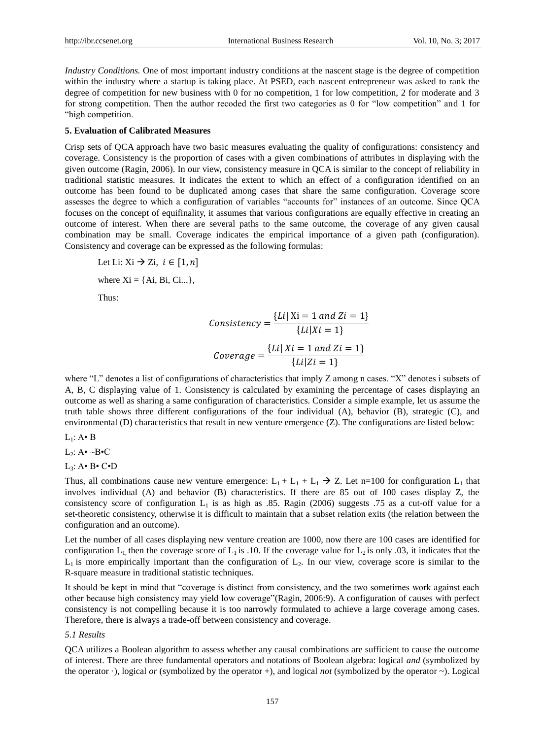*Industry Conditions*. One of most important industry conditions at the nascent stage is the degree of competition within the industry where a startup is taking place. At PSED, each nascent entrepreneur was asked to rank the degree of competition for new business with 0 for no competition, 1 for low competition, 2 for moderate and 3 for strong competition. Then the author recoded the first two categories as  $\theta$  for "low competition" and 1 for "high competition.

### **5. Evaluation of Calibrated Measures**

Crisp sets of QCA approach have two basic measures evaluating the quality of configurations: consistency and coverage. Consistency is the proportion of cases with a given combinations of attributes in displaying with the given outcome (Ragin, 2006). In our view, consistency measure in QCA is similar to the concept of reliability in traditional statistic measures. It indicates the extent to which an effect of a configuration identified on an outcome has been found to be duplicated among cases that share the same configuration. Coverage score assesses the degree to which a configuration of variables "accounts for" instances of an outcome. Since QCA focuses on the concept of equifinality, it assumes that various configurations are equally effective in creating an outcome of interest. When there are several paths to the same outcome, the coverage of any given causal combination may be small. Coverage indicates the empirical importance of a given path (configuration). Consistency and coverage can be expressed as the following formulas:

Let Li:  $Xi \rightarrow Zi$ ,  $i \in [1, n]$ where  $Xi = \{Ai, Bi, Ci...\}$ ,

Thus:

$$
Consistency = \frac{\{Li | \text{Xi} = 1 \text{ and } \text{Z}i = 1\}}{\{Li | \text{Xi} = 1\}}
$$
\n
$$
Coverage = \frac{\{Li | \text{Xi} = 1 \text{ and } \text{Z}i = 1\}}{\{Li | \text{Z}i = 1\}}
$$

where "L" denotes a list of configurations of characteristics that imply Z among n cases. "X" denotes i subsets of A, B, C displaying value of 1. Consistency is calculated by examining the percentage of cases displaying an outcome as well as sharing a same configuration of characteristics. Consider a simple example, let us assume the truth table shows three different configurations of the four individual (A), behavior (B), strategic (C), and environmental (D) characteristics that result in new venture emergence (Z). The configurations are listed below:

 $L_1$ : A• B

L<sub>2</sub>:  $A \cdot \sim B \cdot C$ 

L<sub>3</sub>: A• B• C•D

Thus, all combinations cause new venture emergence:  $L_1 + L_1 + L_1 \rightarrow Z$ . Let n=100 for configuration  $L_1$  that involves individual (A) and behavior (B) characteristics. If there are 85 out of 100 cases display Z, the consistency score of configuration  $L_1$  is as high as .85. Ragin (2006) suggests .75 as a cut-off value for a set-theoretic consistency, otherwise it is difficult to maintain that a subset relation exits (the relation between the configuration and an outcome).

Let the number of all cases displaying new venture creation are 1000, now there are 100 cases are identified for configuration  $L_1$ , then the coverage score of  $L_1$  is .10. If the coverage value for  $L_2$  is only .03, it indicates that the  $L_1$  is more empirically important than the configuration of  $L_2$ . In our view, coverage score is similar to the R-square measure in traditional statistic techniques.

It should be kept in mind that "coverage is distinct from consistency, and the two sometimes work against each other because high consistency may yield low coverage"(Ragin, 2006:9). A configuration of causes with perfect consistency is not compelling because it is too narrowly formulated to achieve a large coverage among cases. Therefore, there is always a trade-off between consistency and coverage.

## *5.1 Results*

QCA utilizes a Boolean algorithm to assess whether any causal combinations are sufficient to cause the outcome of interest. There are three fundamental operators and notations of Boolean algebra: logical *and* (symbolized by the operator ·), logical *or* (symbolized by the operator +), and logical *not* (symbolized by the operator ~). Logical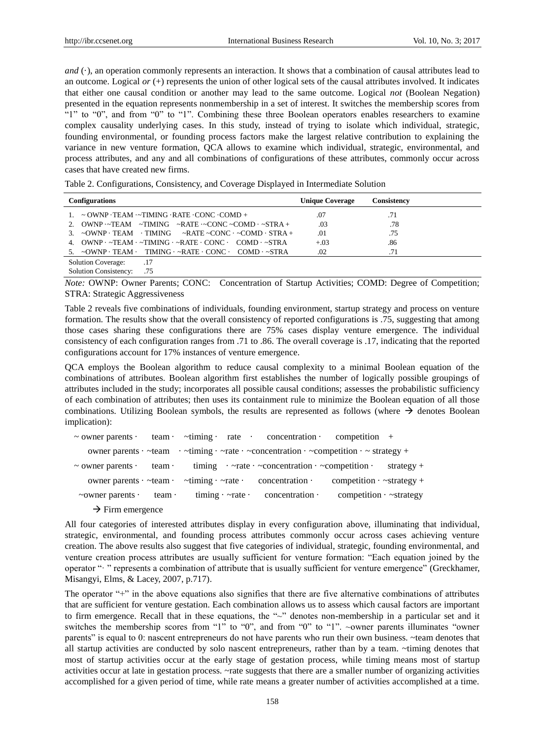*and* (), an operation commonly represents an interaction. It shows that a combination of causal attributes lead to an outcome. Logical *or* (+) represents the union of other logical sets of the causal attributes involved. It indicates that either one causal condition or another may lead to the same outcome. Logical *not* (Boolean Negation) presented in the equation represents nonmembership in a set of interest. It switches the membership scores from "1" to "0", and from "0" to "1". Combining these three Boolean operators enables researchers to examine complex causality underlying cases. In this study, instead of trying to isolate which individual, strategic, founding environmental, or founding process factors make the largest relative contribution to explaining the variance in new venture formation, QCA allows to examine which individual, strategic, environmental, and process attributes, and any and all combinations of configurations of these attributes, commonly occur across cases that have created new firms.

| Table 2. Configurations, Consistency, and Coverage Displayed in Intermediate Solution |  |  |  |
|---------------------------------------------------------------------------------------|--|--|--|
|                                                                                       |  |  |  |

| <b>Configurations</b>                                                 | <b>Unique Coverage</b> | <b>Consistency</b> |  |
|-----------------------------------------------------------------------|------------------------|--------------------|--|
| $\sim$ OWNP TEAM $\sim$ TIMING RATE CONC COMD +                       | .07                    | .71                |  |
| 2. OWNP ~TEAM ~TIMING ~RATE ~CONC ~COMD ·~ STRA +                     | .03                    | .78                |  |
| 3. $\sim$ OWNP TEAM TIMING $\sim$ RATE $\sim$ CONC $\sim$ COMD STRA + | .01                    | .75                |  |
| 4. OWNP $\sim$ TEAM $\sim$ TIMING $\sim$ RATE CONC COMD $\sim$ STRA   | $+.03$                 | .86                |  |
| 5. $\sim$ OWNP TEAM TIMING $\sim$ RATE CONC COMD $\sim$ STRA          | .02                    | .71                |  |
| <b>Solution Coverage:</b><br>.17                                      |                        |                    |  |
| Solution Consistency:<br>.75                                          |                        |                    |  |

*Note:* OWNP: Owner Parents; CONC: Concentration of Startup Activities; COMD: Degree of Competition; STRA: Strategic Aggressiveness

Table 2 reveals five combinations of individuals, founding environment, startup strategy and process on venture formation. The results show that the overall consistency of reported configurations is .75, suggesting that among those cases sharing these configurations there are 75% cases display venture emergence. The individual consistency of each configuration ranges from .71 to .86. The overall coverage is .17, indicating that the reported configurations account for 17% instances of venture emergence.

QCA employs the Boolean algorithm to reduce causal complexity to a minimal Boolean equation of the combinations of attributes. Boolean algorithm first establishes the number of logically possible groupings of attributes included in the study; incorporates all possible causal conditions; assesses the probabilistic sufficiency of each combination of attributes; then uses its containment rule to minimize the Boolean equation of all those combinations. Utilizing Boolean symbols, the results are represented as follows (where  $\rightarrow$  denotes Boolean implication):

| $\sim$ owner parents team $\sim$ $\sim$ timing rate concentration competition +                                           |
|---------------------------------------------------------------------------------------------------------------------------|
| owner parents $\cdot$ -team $\cdot$ -timing $\cdot$ -rate $\cdot$ -concentration $\cdot$ -competition $\cdot$ -strategy + |
| $\sim$ owner parents team timing $\sim$ rate $\sim$ concentration $\sim$ competition strategy +                           |
| owner parents $\sim$ team $\sim$ $\sim$ timing $\sim$ rate $\sim$ concentration $\sim$ competition $\sim$ strategy +      |
| $\sim$ owner parents team timing $\sim$ rate concentration competition $\sim$ strategy                                    |
|                                                                                                                           |

 $\rightarrow$  Firm emergence

All four categories of interested attributes display in every configuration above, illuminating that individual, strategic, environmental, and founding process attributes commonly occur across cases achieving venture creation. The above results also suggest that five categories of individual, strategic, founding environmental, and venture creation process attributes are usually sufficient for venture formation: "Each equation joined by the operator "· " represents a combination of attribute that is usually sufficient for venture emergence" (Greckhamer, Misangyi, Elms, & Lacey, 2007, p.717).

The operator "+" in the above equations also signifies that there are five alternative combinations of attributes that are sufficient for venture gestation. Each combination allows us to assess which causal factors are important to firm emergence. Recall that in these equations, the  $\sim$  denotes non-membership in a particular set and it switches the membership scores from "1" to "0", and from "0" to "1". ~owner parents illuminates "owner parents" is equal to 0: nascent entrepreneurs do not have parents who run their own business. ~team denotes that all startup activities are conducted by solo nascent entrepreneurs, rather than by a team. ~timing denotes that most of startup activities occur at the early stage of gestation process, while timing means most of startup activities occur at late in gestation process. ~rate suggests that there are a smaller number of organizing activities accomplished for a given period of time, while rate means a greater number of activities accomplished at a time.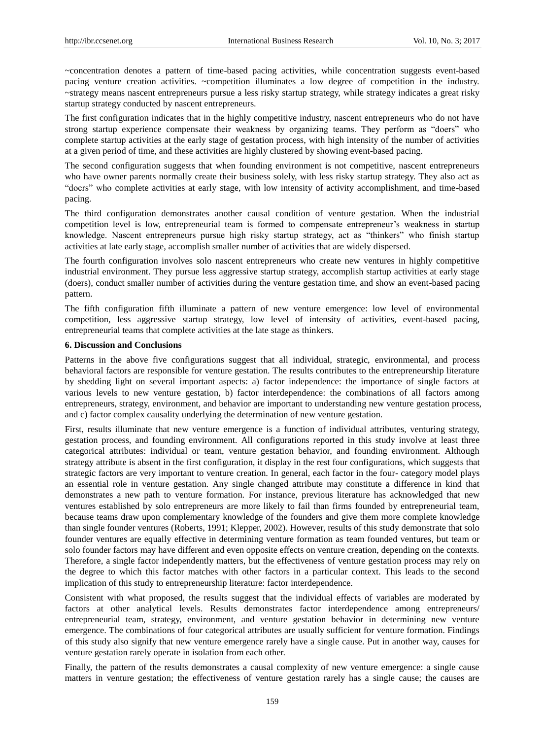~concentration denotes a pattern of time-based pacing activities, while concentration suggests event-based pacing venture creation activities. ~competition illuminates a low degree of competition in the industry. ~strategy means nascent entrepreneurs pursue a less risky startup strategy, while strategy indicates a great risky startup strategy conducted by nascent entrepreneurs.

The first configuration indicates that in the highly competitive industry, nascent entrepreneurs who do not have strong startup experience compensate their weakness by organizing teams. They perform as "doers" who complete startup activities at the early stage of gestation process, with high intensity of the number of activities at a given period of time, and these activities are highly clustered by showing event-based pacing.

The second configuration suggests that when founding environment is not competitive, nascent entrepreneurs who have owner parents normally create their business solely, with less risky startup strategy. They also act as "doers" who complete activities at early stage, with low intensity of activity accomplishment, and time-based pacing.

The third configuration demonstrates another causal condition of venture gestation. When the industrial competition level is low, entrepreneurial team is formed to compensate entrepreneur's weakness in startup knowledge. Nascent entrepreneurs pursue high risky startup strategy, act as "thinkers" who finish startup activities at late early stage, accomplish smaller number of activities that are widely dispersed.

The fourth configuration involves solo nascent entrepreneurs who create new ventures in highly competitive industrial environment. They pursue less aggressive startup strategy, accomplish startup activities at early stage (doers), conduct smaller number of activities during the venture gestation time, and show an event-based pacing pattern.

The fifth configuration fifth illuminate a pattern of new venture emergence: low level of environmental competition, less aggressive startup strategy, low level of intensity of activities, event-based pacing, entrepreneurial teams that complete activities at the late stage as thinkers.

## **6. Discussion and Conclusions**

Patterns in the above five configurations suggest that all individual, strategic, environmental, and process behavioral factors are responsible for venture gestation. The results contributes to the entrepreneurship literature by shedding light on several important aspects: a) factor independence: the importance of single factors at various levels to new venture gestation, b) factor interdependence: the combinations of all factors among entrepreneurs, strategy, environment, and behavior are important to understanding new venture gestation process, and c) factor complex causality underlying the determination of new venture gestation.

First, results illuminate that new venture emergence is a function of individual attributes, venturing strategy, gestation process, and founding environment. All configurations reported in this study involve at least three categorical attributes: individual or team, venture gestation behavior, and founding environment. Although strategy attribute is absent in the first configuration, it display in the rest four configurations, which suggests that strategic factors are very important to venture creation. In general, each factor in the four- category model plays an essential role in venture gestation. Any single changed attribute may constitute a difference in kind that demonstrates a new path to venture formation. For instance, previous literature has acknowledged that new ventures established by solo entrepreneurs are more likely to fail than firms founded by entrepreneurial team, because teams draw upon complementary knowledge of the founders and give them more complete knowledge than single founder ventures (Roberts, 1991; Klepper, 2002). However, results of this study demonstrate that solo founder ventures are equally effective in determining venture formation as team founded ventures, but team or solo founder factors may have different and even opposite effects on venture creation, depending on the contexts. Therefore, a single factor independently matters, but the effectiveness of venture gestation process may rely on the degree to which this factor matches with other factors in a particular context. This leads to the second implication of this study to entrepreneurship literature: factor interdependence.

Consistent with what proposed, the results suggest that the individual effects of variables are moderated by factors at other analytical levels. Results demonstrates factor interdependence among entrepreneurs/ entrepreneurial team, strategy, environment, and venture gestation behavior in determining new venture emergence. The combinations of four categorical attributes are usually sufficient for venture formation. Findings of this study also signify that new venture emergence rarely have a single cause. Put in another way, causes for venture gestation rarely operate in isolation from each other.

Finally, the pattern of the results demonstrates a causal complexity of new venture emergence: a single cause matters in venture gestation; the effectiveness of venture gestation rarely has a single cause; the causes are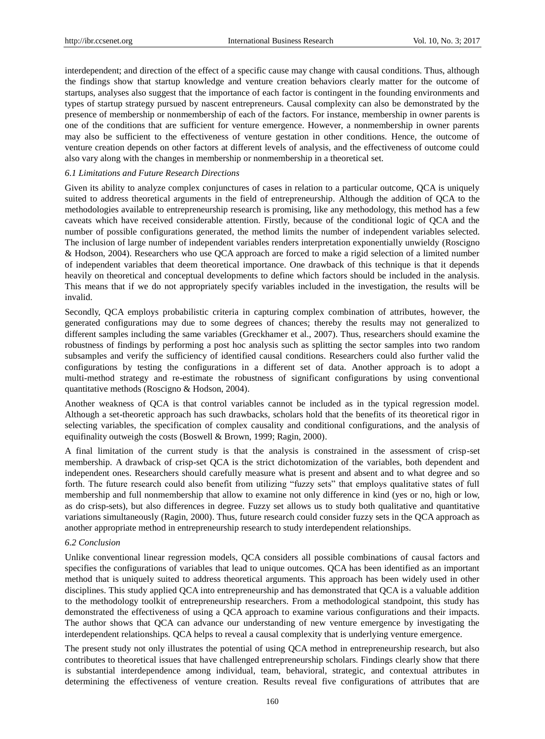interdependent; and direction of the effect of a specific cause may change with causal conditions. Thus, although the findings show that startup knowledge and venture creation behaviors clearly matter for the outcome of startups, analyses also suggest that the importance of each factor is contingent in the founding environments and types of startup strategy pursued by nascent entrepreneurs. Causal complexity can also be demonstrated by the presence of membership or nonmembership of each of the factors. For instance, membership in owner parents is one of the conditions that are sufficient for venture emergence. However, a nonmembership in owner parents may also be sufficient to the effectiveness of venture gestation in other conditions. Hence, the outcome of venture creation depends on other factors at different levels of analysis, and the effectiveness of outcome could also vary along with the changes in membership or nonmembership in a theoretical set.

# *6.1 Limitations and Future Research Directions*

Given its ability to analyze complex conjunctures of cases in relation to a particular outcome, QCA is uniquely suited to address theoretical arguments in the field of entrepreneurship. Although the addition of QCA to the methodologies available to entrepreneurship research is promising, like any methodology, this method has a few caveats which have received considerable attention. Firstly, because of the conditional logic of QCA and the number of possible configurations generated, the method limits the number of independent variables selected. The inclusion of large number of independent variables renders interpretation exponentially unwieldy (Roscigno & Hodson, 2004). Researchers who use QCA approach are forced to make a rigid selection of a limited number of independent variables that deem theoretical importance. One drawback of this technique is that it depends heavily on theoretical and conceptual developments to define which factors should be included in the analysis. This means that if we do not appropriately specify variables included in the investigation, the results will be invalid.

Secondly, QCA employs probabilistic criteria in capturing complex combination of attributes, however, the generated configurations may due to some degrees of chances; thereby the results may not generalized to different samples including the same variables (Greckhamer et al., 2007). Thus, researchers should examine the robustness of findings by performing a post hoc analysis such as splitting the sector samples into two random subsamples and verify the sufficiency of identified causal conditions. Researchers could also further valid the configurations by testing the configurations in a different set of data. Another approach is to adopt a multi-method strategy and re-estimate the robustness of significant configurations by using conventional quantitative methods (Roscigno & Hodson, 2004).

Another weakness of QCA is that control variables cannot be included as in the typical regression model. Although a set-theoretic approach has such drawbacks, scholars hold that the benefits of its theoretical rigor in selecting variables, the specification of complex causality and conditional configurations, and the analysis of equifinality outweigh the costs (Boswell & Brown, 1999; Ragin, 2000).

A final limitation of the current study is that the analysis is constrained in the assessment of crisp-set membership. A drawback of crisp-set QCA is the strict dichotomization of the variables, both dependent and independent ones. Researchers should carefully measure what is present and absent and to what degree and so forth. The future research could also benefit from utilizing "fuzzy sets" that employs qualitative states of full membership and full nonmembership that allow to examine not only difference in kind (yes or no, high or low, as do crisp-sets), but also differences in degree. Fuzzy set allows us to study both qualitative and quantitative variations simultaneously (Ragin, 2000). Thus, future research could consider fuzzy sets in the QCA approach as another appropriate method in entrepreneurship research to study interdependent relationships.

# *6.2 Conclusion*

Unlike conventional linear regression models, QCA considers all possible combinations of causal factors and specifies the configurations of variables that lead to unique outcomes. QCA has been identified as an important method that is uniquely suited to address theoretical arguments. This approach has been widely used in other disciplines. This study applied QCA into entrepreneurship and has demonstrated that QCA is a valuable addition to the methodology toolkit of entrepreneurship researchers. From a methodological standpoint, this study has demonstrated the effectiveness of using a QCA approach to examine various configurations and their impacts. The author shows that QCA can advance our understanding of new venture emergence by investigating the interdependent relationships. QCA helps to reveal a causal complexity that is underlying venture emergence.

The present study not only illustrates the potential of using QCA method in entrepreneurship research, but also contributes to theoretical issues that have challenged entrepreneurship scholars. Findings clearly show that there is substantial interdependence among individual, team, behavioral, strategic, and contextual attributes in determining the effectiveness of venture creation. Results reveal five configurations of attributes that are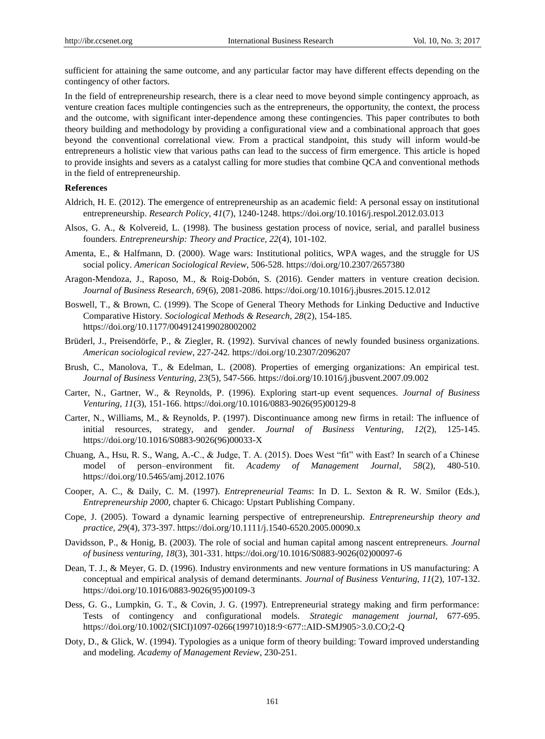sufficient for attaining the same outcome, and any particular factor may have different effects depending on the contingency of other factors.

In the field of entrepreneurship research, there is a clear need to move beyond simple contingency approach, as venture creation faces multiple contingencies such as the entrepreneurs, the opportunity, the context, the process and the outcome, with significant inter-dependence among these contingencies. This paper contributes to both theory building and methodology by providing a configurational view and a combinational approach that goes beyond the conventional correlational view. From a practical standpoint, this study will inform would-be entrepreneurs a holistic view that various paths can lead to the success of firm emergence. This article is hoped to provide insights and severs as a catalyst calling for more studies that combine QCA and conventional methods in the field of entrepreneurship.

# **References**

- Aldrich, H. E. (2012). The emergence of entrepreneurship as an academic field: A personal essay on institutional entrepreneurship. *Research Policy, 41*(7), 1240-1248. https://doi.org/10.1016/j.respol.2012.03.013
- Alsos, G. A., & Kolvereid, L. (1998). The business gestation process of novice, serial, and parallel business founders. *Entrepreneurship: Theory and Practice, 22*(4), 101-102.
- Amenta, E., & Halfmann, D. (2000). Wage wars: Institutional politics, WPA wages, and the struggle for US social policy. *American Sociological Review*, 506-528. https://doi.org/10.2307/2657380
- Aragon-Mendoza, J., Raposo, M., & Roig-Dobón, S. (2016). Gender matters in venture creation decision. *Journal of Business Research, 69*(6), 2081-2086. https://doi.org/10.1016/j.jbusres.2015.12.012
- Boswell, T., & Brown, C. (1999). The Scope of General Theory Methods for Linking Deductive and Inductive Comparative History. *Sociological Methods & Research, 28*(2), 154-185. https://doi.org/10.1177/0049124199028002002
- Brüderl, J., Preisendörfe, P., & Ziegler, R. (1992). Survival chances of newly founded business organizations. *American sociological review*, 227-242. https://doi.org/10.2307/2096207
- Brush, C., Manolova, T., & Edelman, L. (2008). Properties of emerging organizations: An empirical test. *Journal of Business Venturing, 23*(5), 547-566. https://doi.org/10.1016/j.jbusvent.2007.09.002
- Carter, N., Gartner, W., & Reynolds, P. (1996). Exploring start-up event sequences. *Journal of Business Venturing, 11*(3), 151-166. https://doi.org/10.1016/0883-9026(95)00129-8
- Carter, N., Williams, M., & Reynolds, P. (1997). Discontinuance among new firms in retail: The influence of initial resources, strategy, and gender. *Journal of Business Venturing, 12*(2), 125-145. https://doi.org/10.1016/S0883-9026(96)00033-X
- Chuang, A., Hsu, R. S., Wang, A.-C., & Judge, T. A. (2015). Does West "fit" with East? In search of a Chinese model of person–environment fit. *Academy of Management Journal, 58*(2), 480-510. https://doi.org/10.5465/amj.2012.1076
- Cooper, A. C., & Daily, C. M. (1997). *Entrepreneurial Teams*: In D. L. Sexton & R. W. Smilor (Eds.), *Entrepreneurship 2000,* chapter 6. Chicago: Upstart Publishing Company.
- Cope, J. (2005). Toward a dynamic learning perspective of entrepreneurship. *Entrepreneurship theory and practice, 29*(4), 373-397. https://doi.org/10.1111/j.1540-6520.2005.00090.x
- Davidsson, P., & Honig, B. (2003). The role of social and human capital among nascent entrepreneurs. *Journal of business venturing, 18*(3), 301-331. https://doi.org/10.1016/S0883-9026(02)00097-6
- Dean, T. J., & Meyer, G. D. (1996). Industry environments and new venture formations in US manufacturing: A conceptual and empirical analysis of demand determinants. *Journal of Business Venturing, 11*(2), 107-132. https://doi.org/10.1016/0883-9026(95)00109-3
- Dess, G. G., Lumpkin, G. T., & Covin, J. G. (1997). Entrepreneurial strategy making and firm performance: Tests of contingency and configurational models. *Strategic management journal*, 677-695. https://doi.org/10.1002/(SICI)1097-0266(199710)18:9<677::AID-SMJ905>3.0.CO;2-Q
- Doty, D., & Glick, W. (1994). Typologies as a unique form of theory building: Toward improved understanding and modeling. *Academy of Management Review*, 230-251.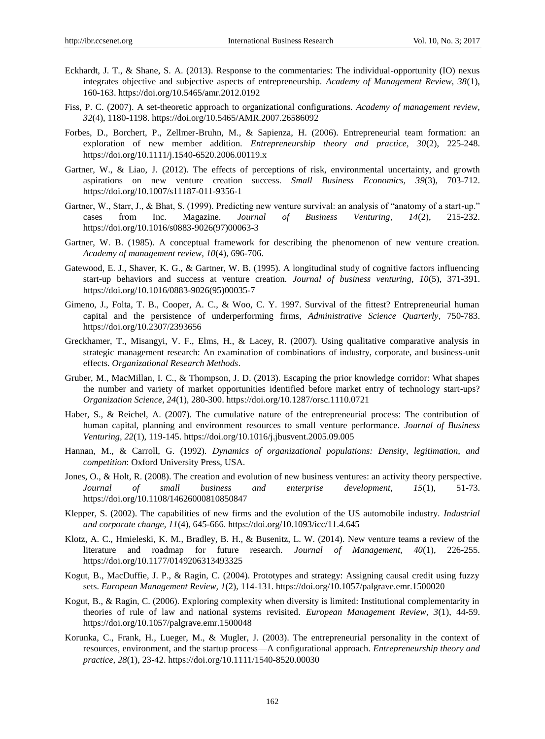- Eckhardt, J. T., & Shane, S. A. (2013). Response to the commentaries: The individual-opportunity (IO) nexus integrates objective and subjective aspects of entrepreneurship. *Academy of Management Review, 38*(1), 160-163. https://doi.org/10.5465/amr.2012.0192
- Fiss, P. C. (2007). A set-theoretic approach to organizational configurations. *Academy of management review*, *32*(4), 1180-1198. https://doi.org/10.5465/AMR.2007.26586092
- Forbes, D., Borchert, P., Zellmer-Bruhn, M., & Sapienza, H. (2006). Entrepreneurial team formation: an exploration of new member addition. *Entrepreneurship theory and practice, 30*(2), 225-248. https://doi.org/10.1111/j.1540-6520.2006.00119.x
- Gartner, W., & Liao, J. (2012). The effects of perceptions of risk, environmental uncertainty, and growth aspirations on new venture creation success. *Small Business Economics, 39*(3), 703-712. https://doi.org/10.1007/s11187-011-9356-1
- Gartner, W., Starr, J., & Bhat, S. (1999). Predicting new venture survival: an analysis of "anatomy of a start-up." cases from Inc. Magazine. *Journal of Business Venturing, 14*(2), 215-232. https://doi.org/10.1016/s0883-9026(97)00063-3
- Gartner, W. B. (1985). A conceptual framework for describing the phenomenon of new venture creation. *Academy of management review, 10*(4), 696-706.
- Gatewood, E. J., Shaver, K. G., & Gartner, W. B. (1995). A longitudinal study of cognitive factors influencing start-up behaviors and success at venture creation. *Journal of business venturing, 10*(5), 371-391. https://doi.org/10.1016/0883-9026(95)00035-7
- Gimeno, J., Folta, T. B., Cooper, A. C., & Woo, C. Y. 1997. Survival of the fittest? Entrepreneurial human capital and the persistence of underperforming firms, *Administrative Science Quarterly*, 750-783. https://doi.org/10.2307/2393656
- Greckhamer, T., Misangyi, V. F., Elms, H., & Lacey, R. (2007). Using qualitative comparative analysis in strategic management research: An examination of combinations of industry, corporate, and business-unit effects. *Organizational Research Methods*.
- Gruber, M., MacMillan, I. C., & Thompson, J. D. (2013). Escaping the prior knowledge corridor: What shapes the number and variety of market opportunities identified before market entry of technology start-ups? *Organization Science, 24*(1), 280-300. https://doi.org/10.1287/orsc.1110.0721
- Haber, S., & Reichel, A. (2007). The cumulative nature of the entrepreneurial process: The contribution of human capital, planning and environment resources to small venture performance. *Journal of Business Venturing, 22*(1), 119-145. https://doi.org/10.1016/j.jbusvent.2005.09.005
- Hannan, M., & Carroll, G. (1992). *Dynamics of organizational populations: Density, legitimation, and competition*: Oxford University Press, USA.
- Jones, O., & Holt, R. (2008). The creation and evolution of new business ventures: an activity theory perspective. *Journal of small business and enterprise development, 15*(1), 51-73. https://doi.org/10.1108/14626000810850847
- Klepper, S. (2002). The capabilities of new firms and the evolution of the US automobile industry. *Industrial and corporate change, 11*(4), 645-666. https://doi.org/10.1093/icc/11.4.645
- Klotz, A. C., Hmieleski, K. M., Bradley, B. H., & Busenitz, L. W. (2014). New venture teams a review of the literature and roadmap for future research. *Journal of Management, 40*(1), 226-255. https://doi.org/10.1177/0149206313493325
- Kogut, B., MacDuffie, J. P., & Ragin, C. (2004). Prototypes and strategy: Assigning causal credit using fuzzy sets. *European Management Review, 1*(2), 114-131. https://doi.org/10.1057/palgrave.emr.1500020
- Kogut, B., & Ragin, C. (2006). Exploring complexity when diversity is limited: Institutional complementarity in theories of rule of law and national systems revisited. *European Management Review, 3*(1), 44-59. https://doi.org/10.1057/palgrave.emr.1500048
- Korunka, C., Frank, H., Lueger, M., & Mugler, J. (2003). The entrepreneurial personality in the context of resources, environment, and the startup process—A configurational approach. *Entrepreneurship theory and practice, 28*(1), 23-42. https://doi.org/10.1111/1540-8520.00030